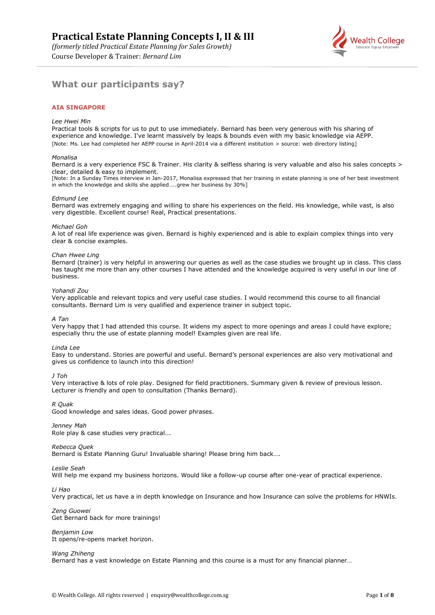Course Developer & Trainer: *Bernard Lim*



# **What our participants say?**

### **AIA SINGAPORE**

#### *Lee Hwei Min*

Practical tools & scripts for us to put to use immediately. Bernard has been very generous with his sharing of experience and knowledge. I've learnt massively by leaps & bounds even with my basic knowledge via AEPP. [Note: Ms. Lee had completed her AEPP course in April-2014 via a different institution > source: web directory listing]

#### *Monalisa*

Bernard is a very experience FSC & Trainer. His clarity & selfless sharing is very valuable and also his sales concepts > clear, detailed & easy to implement.

[Note: In a Sunday Times interview in Jan-2017, Monalisa expressed that her training in estate planning is one of her best investment in which the knowledge and skills she applied…..grew her business by 30%]

#### *Edmund Lee*

Bernard was extremely engaging and willing to share his experiences on the field. His knowledge, while vast, is also very digestible. Excellent course! Real, Practical presentations.

#### *Michael Goh*

A lot of real life experience was given. Bernard is highly experienced and is able to explain complex things into very clear & concise examples.

#### *Chan Hwee Ling*

Bernard (trainer) is very helpful in answering our queries as well as the case studies we brought up in class. This class has taught me more than any other courses I have attended and the knowledge acquired is very useful in our line of business.

#### *Yohandi Zou*

Very applicable and relevant topics and very useful case studies. I would recommend this course to all financial consultants. Bernard Lim is very qualified and experience trainer in subject topic.

#### *A Tan*

Very happy that I had attended this course. It widens my aspect to more openings and areas I could have explore; especially thru the use of estate planning model! Examples given are real life.

#### *Linda Lee*

Easy to understand. Stories are powerful and useful. Bernard's personal experiences are also very motivational and gives us confidence to launch into this direction!

*J Toh*

Very interactive & lots of role play. Designed for field practitioners. Summary given & review of previous lesson. Lecturer is friendly and open to consultation (Thanks Bernard).

*R Quak*

Good knowledge and sales ideas. Good power phrases.

#### *Jenney Mah*

Role play & case studies very practical...

#### *Rebecca Quek*

Bernard is Estate Planning Guru! Invaluable sharing! Please bring him back….

#### *Leslie Seah*

Will help me expand my business horizons. Would like a follow-up course after one-year of practical experience.

*Li Hao*

Very practical, let us have a in depth knowledge on Insurance and how Insurance can solve the problems for HNWIs.

*Zeng Guowei* Get Bernard back for more trainings!

*Benjamin Low* It opens/re-opens market horizon.

#### *Wang Zhiheng*

Bernard has a vast knowledge on Estate Planning and this course is a must for any financial planner…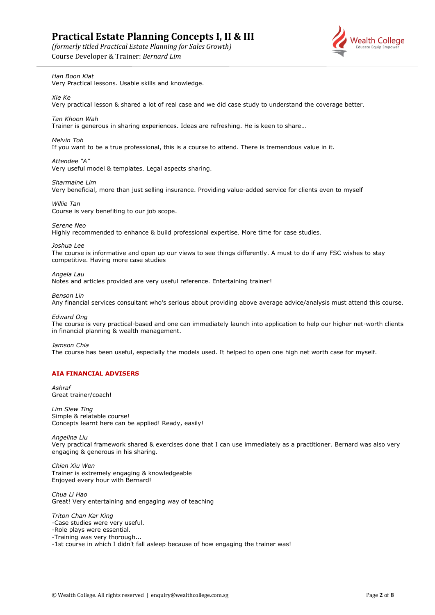*(formerly titled Practical Estate Planning for Sales Growth)*

Course Developer & Trainer: *Bernard Lim*



*Han Boon Kiat*

Very Practical lessons. Usable skills and knowledge.

*Xie Ke* Very practical lesson & shared a lot of real case and we did case study to understand the coverage better.

*Tan Khoon Wah*

Trainer is generous in sharing experiences. Ideas are refreshing. He is keen to share…

*Melvin Toh*

If you want to be a true professional, this is a course to attend. There is tremendous value in it.

*Attendee "A"* Very useful model & templates. Legal aspects sharing.

*Sharmaine Lim* Very beneficial, more than just selling insurance. Providing value-added service for clients even to myself

*Willie Tan* Course is very benefiting to our job scope.

*Serene Neo* Highly recommended to enhance & build professional expertise. More time for case studies.

*Joshua Lee*

The course is informative and open up our views to see things differently. A must to do if any FSC wishes to stay competitive. Having more case studies

*Angela Lau*

Notes and articles provided are very useful reference. Entertaining trainer!

*Benson Lin*

Any financial services consultant who's serious about providing above average advice/analysis must attend this course.

*Edward Ong*

The course is very practical-based and one can immediately launch into application to help our higher net-worth clients in financial planning & wealth management.

*Jamson Chia*

The course has been useful, especially the models used. It helped to open one high net worth case for myself.

### **AIA FINANCIAL ADVISERS**

*Ashraf* Great trainer/coach!

*Lim Siew Ting* Simple & relatable course! Concepts learnt here can be applied! Ready, easily!

*Angelina Liu* Very practical framework shared & exercises done that I can use immediately as a practitioner. Bernard was also very engaging & generous in his sharing.

*Chien Xiu Wen* Trainer is extremely engaging & knowledgeable Enjoyed every hour with Bernard!

*Chua Li Hao* Great! Very entertaining and engaging way of teaching

*Triton Chan Kar King* -Case studies were very useful.

-Role plays were essential.

-Training was very thorough...

-1st course in which I didn't fall asleep because of how engaging the trainer was!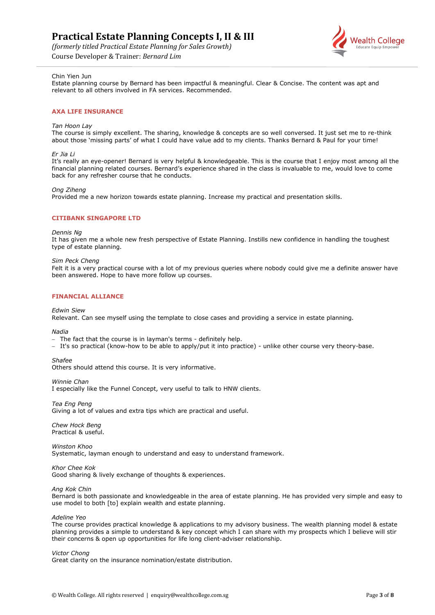*(formerly titled Practical Estate Planning for Sales Growth)*

Course Developer & Trainer: *Bernard Lim*



### Chin Yien Jun

Estate planning course by Bernard has been impactful & meaningful. Clear & Concise. The content was apt and relevant to all others involved in FA services. Recommended.

#### **AXA LIFE INSURANCE**

#### *Tan Hoon Lay*

The course is simply excellent. The sharing, knowledge & concepts are so well conversed. It just set me to re-think about those 'missing parts' of what I could have value add to my clients. Thanks Bernard & Paul for your time!

#### *Er Jia Li*

It's really an eye-opener! Bernard is very helpful & knowledgeable. This is the course that I enjoy most among all the financial planning related courses. Bernard's experience shared in the class is invaluable to me, would love to come back for any refresher course that he conducts.

#### *Ong Ziheng*

Provided me a new horizon towards estate planning. Increase my practical and presentation skills.

#### **CITIBANK SINGAPORE LTD**

#### *Dennis Ng*

It has given me a whole new fresh perspective of Estate Planning. Instills new confidence in handling the toughest type of estate planning.

#### *Sim Peck Cheng*

Felt it is a very practical course with a lot of my previous queries where nobody could give me a definite answer have been answered. Hope to have more follow up courses.

#### **FINANCIAL ALLIANCE**

#### *Edwin Siew*

Relevant. Can see myself using the template to close cases and providing a service in estate planning*.*

*Nadia*

- − The fact that the course is in layman's terms definitely help.
- − It's so practical (know-how to be able to apply/put it into practice) unlike other course very theory-base.

#### *Shafee*

Others should attend this course. It is very informative.

#### *Winnie Chan*

I especially like the Funnel Concept, very useful to talk to HNW clients.

*Tea Eng Peng*

Giving a lot of values and extra tips which are practical and useful.

*Chew Hock Beng* Practical & useful.

*Winston Khoo* Systematic, layman enough to understand and easy to understand framework.

#### *Khor Chee Kok*

Good sharing & lively exchange of thoughts & experiences.

*Ang Kok Chin*

Bernard is both passionate and knowledgeable in the area of estate planning. He has provided very simple and easy to use model to both [to] explain wealth and estate planning.

*Adeline Yeo*

The course provides practical knowledge & applications to my advisory business. The wealth planning model & estate planning provides a simple to understand & key concept which I can share with my prospects which I believe will stir their concerns & open up opportunities for life long client-adviser relationship.

#### *Victor Chong*

Great clarity on the insurance nomination/estate distribution.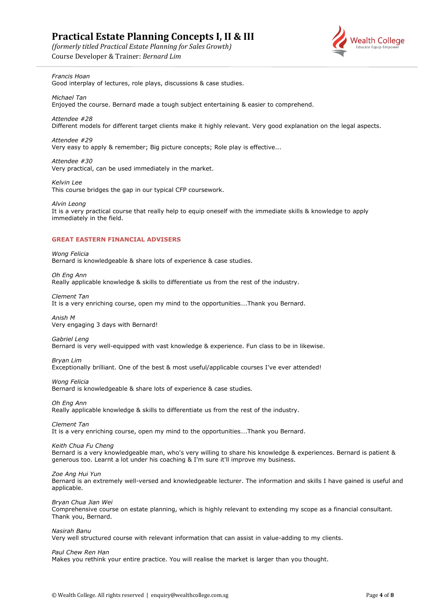*(formerly titled Practical Estate Planning for Sales Growth)*





## *Francis Hoan*

Good interplay of lectures, role plays, discussions & case studies.

*Michael Tan*

Enjoyed the course. Bernard made a tough subject entertaining & easier to comprehend.

#### *Attendee #28*

Different models for different target clients make it highly relevant. Very good explanation on the legal aspects.

#### *Attendee #29*

Very easy to apply & remember; Big picture concepts; Role play is effective...

*Attendee #30* Very practical, can be used immediately in the market.

*Kelvin Lee* This course bridges the gap in our typical CFP coursework.

*Alvin Leong*

It is a very practical course that really help to equip oneself with the immediate skills & knowledge to apply immediately in the field.

### **GREAT EASTERN FINANCIAL ADVISERS**

*Wong Felicia* Bernard is knowledgeable & share lots of experience & case studies.

*Oh Eng Ann* Really applicable knowledge & skills to differentiate us from the rest of the industry.

*Clement Tan*

It is a very enriching course, open my mind to the opportunities….Thank you Bernard.

*Anish M* Very engaging 3 days with Bernard!

*Gabriel Leng* Bernard is very well-equipped with vast knowledge & experience. Fun class to be in likewise.

*Bryan Lim* Exceptionally brilliant. One of the best & most useful/applicable courses I've ever attended!

*Wong Felicia* Bernard is knowledgeable & share lots of experience & case studies*.*

*Oh Eng Ann* Really applicable knowledge & skills to differentiate us from the rest of the industry.

*Clement Tan*

It is a very enriching course, open my mind to the opportunities….Thank you Bernard.

*Keith Chua Fu Cheng*

Bernard is a very knowledgeable man, who's very willing to share his knowledge & experiences. Bernard is patient & generous too. Learnt a lot under his coaching & I'm sure it'll improve my business.

*Zoe Ang Hui Yun*

Bernard is an extremely well-versed and knowledgeable lecturer. The information and skills I have gained is useful and applicable*.*

*Bryan Chua Jian Wei*

Comprehensive course on estate planning, which is highly relevant to extending my scope as a financial consultant. Thank you, Bernard.

*Nasirah Banu*

Very well structured course with relevant information that can assist in value-adding to my clients.

*Paul Chew Ren Han*

Makes you rethink your entire practice. You will realise the market is larger than you thought.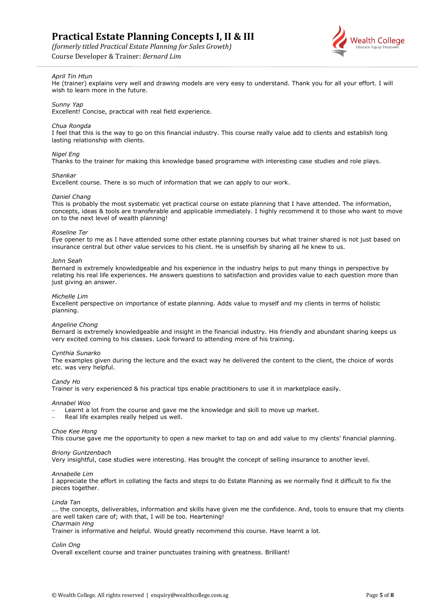*(formerly titled Practical Estate Planning for Sales Growth)*

Course Developer & Trainer: *Bernard Lim*



## *April Tin Htun*

He (trainer) explains very well and drawing models are very easy to understand. Thank you for all your effort. I will wish to learn more in the future.

#### *Sunny Yap*

Excellent! Concise, practical with real field experience.

#### *Chua Rongda*

I feel that this is the way to go on this financial industry. This course really value add to clients and establish long lasting relationship with clients.

#### *Nigel Eng*

Thanks to the trainer for making this knowledge based programme with interesting case studies and role plays.

#### *Shankar*

Excellent course. There is so much of information that we can apply to our work.

#### *Daniel Chang*

This is probably the most systematic yet practical course on estate planning that I have attended. The information, concepts, ideas & tools are transferable and applicable immediately. I highly recommend it to those who want to move on to the next level of wealth planning!

#### *Roseline Ter*

Eye opener to me as I have attended some other estate planning courses but what trainer shared is not just based on insurance central but other value services to his client. He is unselfish by sharing all he knew to us.

#### *John Seah*

Bernard is extremely knowledgeable and his experience in the industry helps to put many things in perspective by relating his real life experiences. He answers questions to satisfaction and provides value to each question more than just giving an answer.

#### *Michelle Lim*

Excellent perspective on importance of estate planning. Adds value to myself and my clients in terms of holistic planning.

#### *Angeline Chong*

Bernard is extremely knowledgeable and insight in the financial industry. His friendly and abundant sharing keeps us very excited coming to his classes. Look forward to attending more of his training.

#### *Cynthia Sunarko*

The examples given during the lecture and the exact way he delivered the content to the client, the choice of words etc. was very helpful.

#### *Candy Ho*

Trainer is very experienced & his practical tips enable practitioners to use it in marketplace easily.

#### *Annabel Woo*

- Learnt a lot from the course and gave me the knowledge and skill to move up market.
- − Real life examples really helped us well.

#### *Choe Kee Hong*

This course gave me the opportunity to open a new market to tap on and add value to my clients' financial planning.

#### *Briony Guntzenbach*

Very insightful, case studies were interesting. Has brought the concept of selling insurance to another level.

#### *Annabelle Lim*

I appreciate the effort in collating the facts and steps to do Estate Planning as we normally find it difficult to fix the pieces together.

#### *Linda Tan*

... the concepts, deliverables, information and skills have given me the confidence. And, tools to ensure that my clients are well taken care of; with that, I will be too. Heartening! *Charmain Hng* 

Trainer is informative and helpful. Would greatly recommend this course. Have learnt a lot.

#### *Colin Ong*

Overall excellent course and trainer punctuates training with greatness. Brilliant!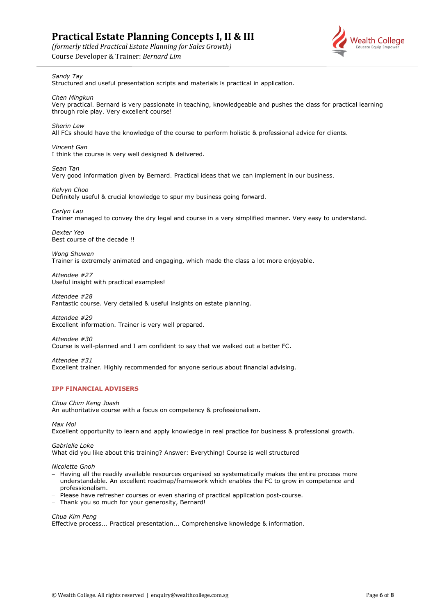*(formerly titled Practical Estate Planning for Sales Growth)*

Course Developer & Trainer: *Bernard Lim*



## *Sandy Tay*

Structured and useful presentation scripts and materials is practical in application.

*Chen Mingkun*  Very practical. Bernard is very passionate in teaching, knowledgeable and pushes the class for practical learning through role play. Very excellent course!

*Sherin Lew* All FCs should have the knowledge of the course to perform holistic & professional advice for clients.

*Vincent Gan* I think the course is very well designed & delivered.

*Sean Tan* Very good information given by Bernard. Practical ideas that we can implement in our business.

*Kelvyn Choo* Definitely useful & crucial knowledge to spur my business going forward.

*Cerlyn Lau* Trainer managed to convey the dry legal and course in a very simplified manner. Very easy to understand.

*Dexter Yeo* Best course of the decade !!

*Wong Shuwen*  Trainer is extremely animated and engaging, which made the class a lot more enjoyable.

*Attendee #27*  Useful insight with practical examples!

*Attendee #28* Fantastic course. Very detailed & useful insights on estate planning.

*Attendee #29* Excellent information. Trainer is very well prepared.

*Attendee #30* Course is well-planned and I am confident to say that we walked out a better FC.

*Attendee #31* Excellent trainer. Highly recommended for anyone serious about financial advising.

## **IPP FINANCIAL ADVISERS**

*Chua Chim Keng Joash*

An authoritative course with a focus on competency & professionalism.

*Max Moi*

Excellent opportunity to learn and apply knowledge in real practice for business & professional growth.

*Gabrielle Loke*

What did you like about this training? Answer: Everything! Course is well structured

*Nicolette Gnoh*

- − Having all the readily available resources organised so systematically makes the entire process more understandable. An excellent roadmap/framework which enables the FC to grow in competence and professionalism.
- − Please have refresher courses or even sharing of practical application post-course.
- − Thank you so much for your generosity, Bernard!

### *Chua Kim Peng*

Effective process... Practical presentation... Comprehensive knowledge & information.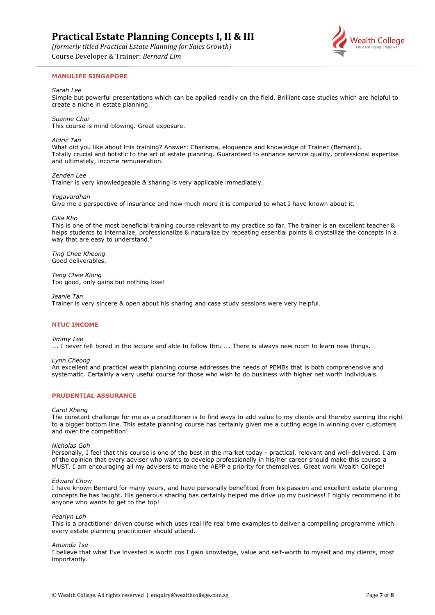*(formerly titled Practical Estate Planning for Sales Growth)*

Course Developer & Trainer: *Bernard Lim*

### **MANULIFE SINGAPORE**

#### *Sarah Lee*

Simple but powerful presentations which can be applied readily on the field. Brilliant case studies which are helpful to create a niche in estate planning.

#### *Suanne Chai*

This course is mind-blowing. Great exposure.

#### *Aldric Tan*

What did you like about this training? Answer: Charisma, eloquence and knowledge of Trainer (Bernard). Totally crucial and holistic to the art of estate planning. Guaranteed to enhance service quality, professional expertise and ultimately, income remuneration.

#### *Zenden Lee*

Trainer is very knowledgeable & sharing is very applicable immediately.

#### *Yugavardhan*

Give me a perspective of insurance and how much more it is compared to what I have known about it.

#### *Cilia Kho*

This is one of the most beneficial training course relevant to my practice so far. The trainer is an excellent teacher & helps students to internalize, professionalize & naturalize by repeating essential points & crystallize the concepts in a way that are easy to understand."

*Ting Chee Kheong* Good deliverables.

*Teng Chee Kiong* Too good, only gains but nothing lose!

*Jeanie Tan*

Trainer is very sincere & open about his sharing and case study sessions were very helpful.

#### **NTUC INCOME**

#### *Jimmy Lee*

…. I never felt bored in the lecture and able to follow thru …. There is always new room to learn new things.

#### *Lynn Cheong*

An excellent and practical wealth planning course addresses the needs of PEMBs that is both comprehensive and systematic. Certainly a very useful course for those who wish to do business with higher net worth individuals.

#### **PRUDENTIAL ASSURANCE**

#### *Carol Kheng*

The constant challenge for me as a practitioner is to find ways to add value to my clients and thereby earning the right to a bigger bottom line. This estate planning course has certainly given me a cutting edge in winning over customers and over the competition!

#### *Nicholas Goh*

Personally, I feel that this course is one of the best in the market today - practical, relevant and well-delivered. I am of the opinion that every adviser who wants to develop professionally in his/her career should make this course a MUST. I am encouraging all my advisers to make the AEPP a priority for themselves. Great work Wealth College!

#### *Edward Chow*

I have known Bernard for many years, and have personally benefitted from his passion and excellent estate planning concepts he has taught. His generous sharing has certainly helped me drive up my business! I highly recommend it to anyone who wants to get to the top!

#### *Pearlyn Loh*

This is a practitioner driven course which uses real life real time examples to deliver a compelling programme which every estate planning practitioner should attend.

#### *Amanda Tse*

I believe that what I've invested is worth cos I gain knowledge, value and self-worth to myself and my clients, most importantly.